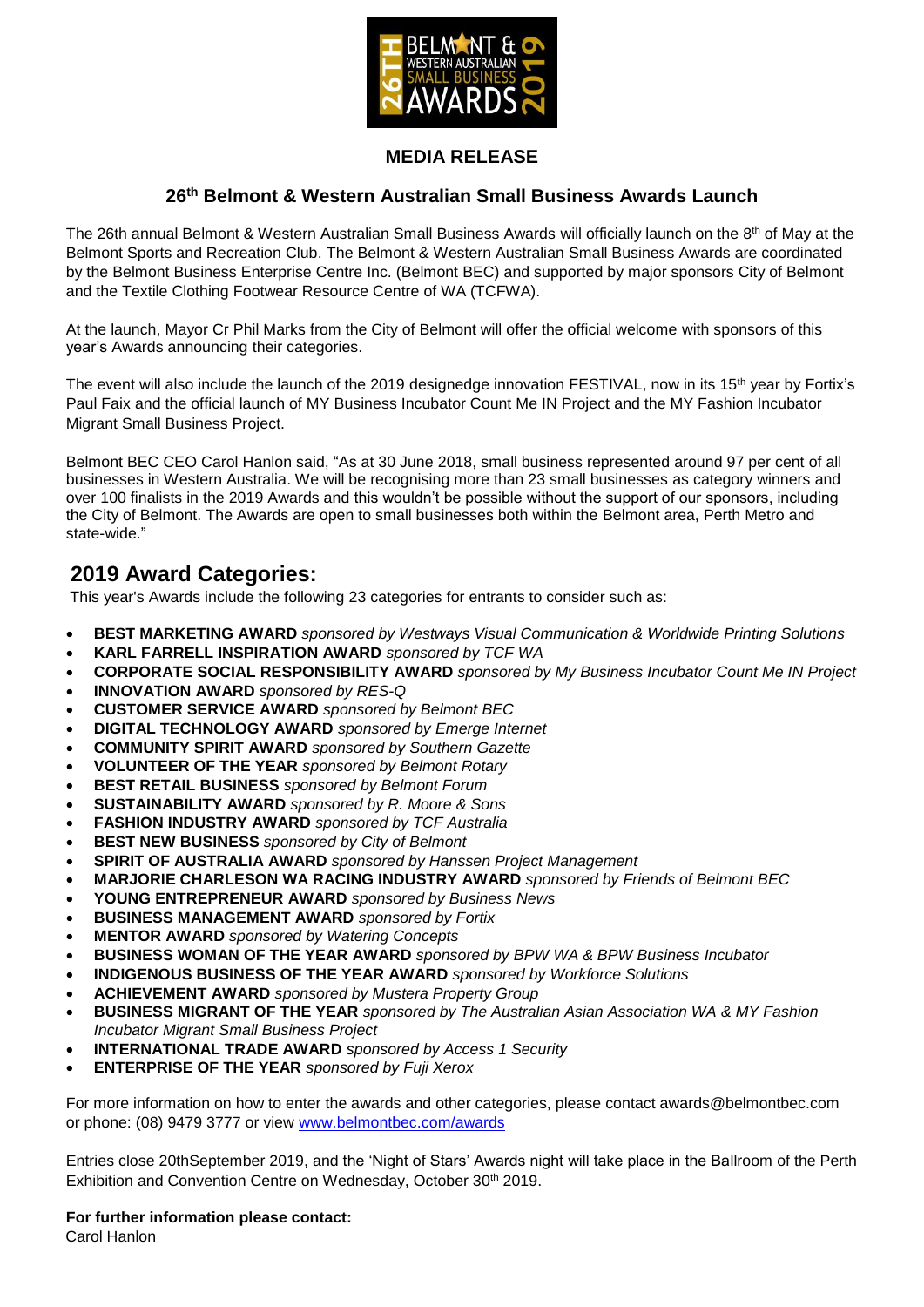

## **MEDIA RELEASE**

### **26th Belmont & Western Australian Small Business Awards Launch**

The 26th annual Belmont & Western Australian Small Business Awards will officially launch on the 8<sup>th</sup> of May at the Belmont Sports and Recreation Club. The Belmont & Western Australian Small Business Awards are coordinated by the Belmont Business Enterprise Centre Inc. (Belmont BEC) and supported by major sponsors City of Belmont and the Textile Clothing Footwear Resource Centre of WA (TCFWA).

At the launch, Mayor Cr Phil Marks from the City of Belmont will offer the official welcome with sponsors of this year's Awards announcing their categories.

The event will also include the launch of the 2019 designedge innovation FESTIVAL, now in its 15<sup>th</sup> year by Fortix's Paul Faix and the official launch of MY Business Incubator Count Me IN Project and the MY Fashion Incubator Migrant Small Business Project.

Belmont BEC CEO Carol Hanlon said, "As at 30 June 2018, small business represented around 97 per cent of all businesses in Western Australia. We will be recognising more than 23 small businesses as category winners and over 100 finalists in the 2019 Awards and this wouldn't be possible without the support of our sponsors, including the City of Belmont. The Awards are open to small businesses both within the Belmont area, Perth Metro and state-wide."

## **2019 Award Categories:**

This year's Awards include the following 23 categories for entrants to consider such as:

- **BEST MARKETING AWARD** *sponsored by Westways Visual Communication & Worldwide Printing Solutions*
- **KARL FARRELL INSPIRATION AWARD** *sponsored by TCF WA*
- **CORPORATE SOCIAL RESPONSIBILITY AWARD** *sponsored by My Business Incubator Count Me IN Project*
- **INNOVATION AWARD** *sponsored by RES-Q*
- **CUSTOMER SERVICE AWARD** *sponsored by Belmont BEC*
- **DIGITAL TECHNOLOGY AWARD** *sponsored by Emerge Internet*
- **COMMUNITY SPIRIT AWARD** *sponsored by Southern Gazette*
- **VOLUNTEER OF THE YEAR** *sponsored by Belmont Rotary*
- **BEST RETAIL BUSINESS** *sponsored by Belmont Forum*
- **SUSTAINABILITY AWARD** *sponsored by R. Moore & Sons*
- **FASHION INDUSTRY AWARD** *sponsored by TCF Australia*
- **BEST NEW BUSINESS** *sponsored by City of Belmont*
- **SPIRIT OF AUSTRALIA AWARD** *sponsored by Hanssen Project Management*
- **MARJORIE CHARLESON WA RACING INDUSTRY AWARD** *sponsored by Friends of Belmont BEC*
- **YOUNG ENTREPRENEUR AWARD** *sponsored by Business News*
- **BUSINESS MANAGEMENT AWARD** *sponsored by Fortix*
- **MENTOR AWARD** *sponsored by Watering Concepts*
- **BUSINESS WOMAN OF THE YEAR AWARD** *sponsored by BPW WA & BPW Business Incubator*
- **INDIGENOUS BUSINESS OF THE YEAR AWARD** *sponsored by Workforce Solutions*
- **ACHIEVEMENT AWARD** *sponsored by Mustera Property Group*
- **BUSINESS MIGRANT OF THE YEAR** *sponsored by The Australian Asian Association WA & MY Fashion Incubator Migrant Small Business Project*
- **INTERNATIONAL TRADE AWARD** *sponsored by Access 1 Security*
- **ENTERPRISE OF THE YEAR** *sponsored by Fuji Xerox*

For more information on how to enter the awards and other categories, please contact awards@belmontbec.com or phone: (08) 9479 3777 or view [www.belmontbec.com/awards](http://www.belmontbec.com/awards)

Entries close 20thSeptember 2019, and the 'Night of Stars' Awards night will take place in the Ballroom of the Perth Exhibition and Convention Centre on Wednesday, October 30<sup>th</sup> 2019.

**For further information please contact:** 

Carol Hanlon